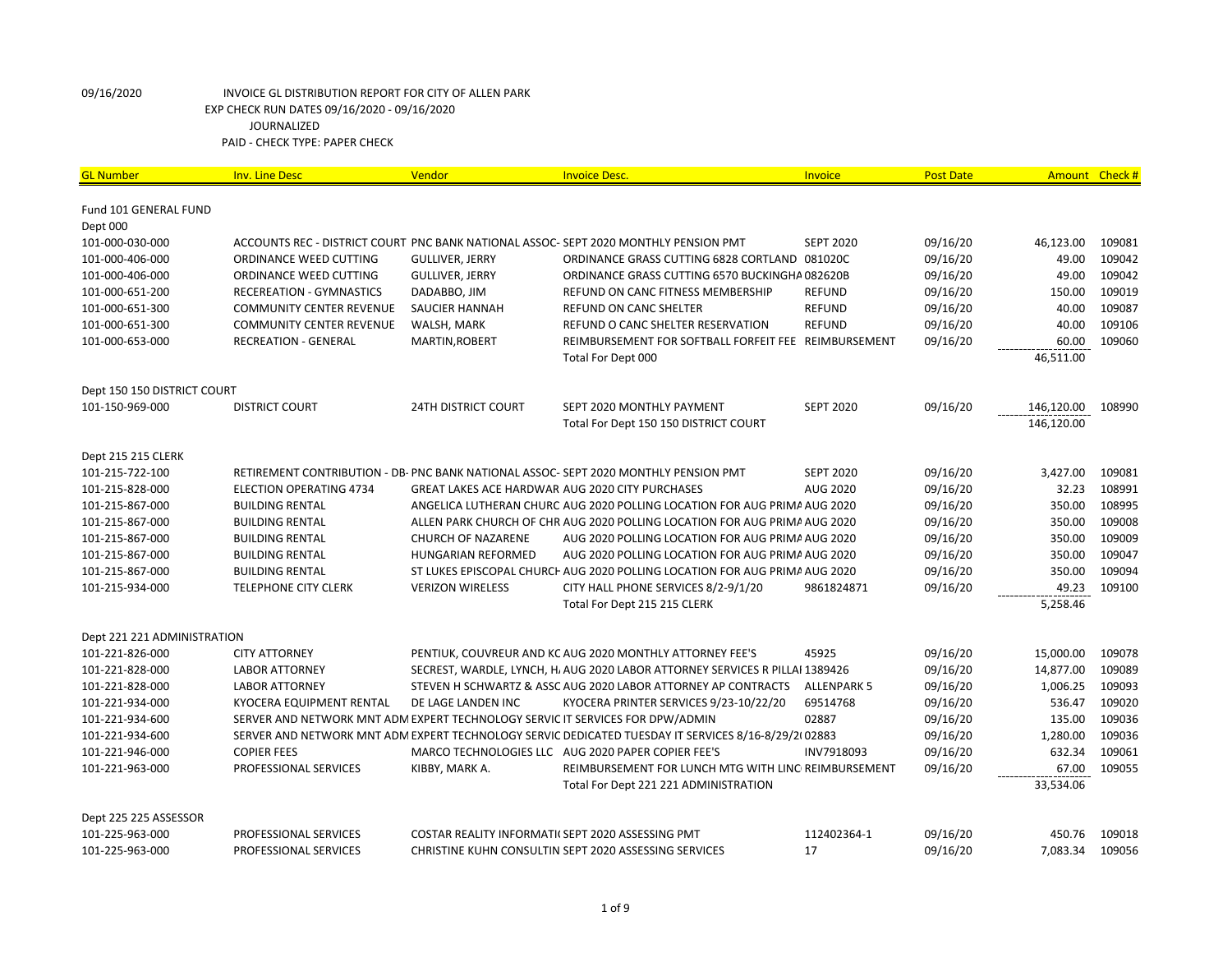| <b>GL Number</b>            | <b>Inv. Line Desc</b>                                                         | Vendor                                           | <b>Invoice Desc.</b>                                                                                | Invoice            | <b>Post Date</b> |            | Amount Check # |
|-----------------------------|-------------------------------------------------------------------------------|--------------------------------------------------|-----------------------------------------------------------------------------------------------------|--------------------|------------------|------------|----------------|
|                             |                                                                               |                                                  |                                                                                                     |                    |                  |            |                |
| Fund 101 GENERAL FUND       |                                                                               |                                                  |                                                                                                     |                    |                  |            |                |
| Dept 000<br>101-000-030-000 |                                                                               |                                                  | ACCOUNTS REC - DISTRICT COURT PNC BANK NATIONAL ASSOC- SEPT 2020 MONTHLY PENSION PMT                | <b>SEPT 2020</b>   | 09/16/20         | 46,123.00  | 109081         |
|                             |                                                                               |                                                  |                                                                                                     |                    |                  |            |                |
| 101-000-406-000             | ORDINANCE WEED CUTTING                                                        | <b>GULLIVER, JERRY</b>                           | ORDINANCE GRASS CUTTING 6828 CORTLAND 081020C                                                       |                    | 09/16/20         | 49.00      | 109042         |
| 101-000-406-000             | ORDINANCE WEED CUTTING                                                        | <b>GULLIVER, JERRY</b>                           | ORDINANCE GRASS CUTTING 6570 BUCKINGHA082620B                                                       |                    | 09/16/20         | 49.00      | 109042         |
| 101-000-651-200             | RECEREATION - GYMNASTICS                                                      | DADABBO, JIM                                     | REFUND ON CANC FITNESS MEMBERSHIP                                                                   | <b>REFUND</b>      | 09/16/20         | 150.00     | 109019         |
| 101-000-651-300             | <b>COMMUNITY CENTER REVENUE</b>                                               | SAUCIER HANNAH                                   | <b>REFUND ON CANC SHELTER</b>                                                                       | <b>REFUND</b>      | 09/16/20         | 40.00      | 109087         |
| 101-000-651-300             | <b>COMMUNITY CENTER REVENUE</b>                                               | WALSH, MARK                                      | REFUND O CANC SHELTER RESERVATION                                                                   | <b>REFUND</b>      | 09/16/20         | 40.00      | 109106         |
| 101-000-653-000             | <b>RECREATION - GENERAL</b>                                                   | MARTIN, ROBERT                                   | REIMBURSEMENT FOR SOFTBALL FORFEIT FEE REIMBURSEMENT                                                |                    | 09/16/20         | 60.00      | 109060         |
|                             |                                                                               |                                                  | Total For Dept 000                                                                                  |                    |                  | 46,511.00  |                |
| Dept 150 150 DISTRICT COURT |                                                                               |                                                  |                                                                                                     |                    |                  |            |                |
| 101-150-969-000             | <b>DISTRICT COURT</b>                                                         | <b>24TH DISTRICT COURT</b>                       | SEPT 2020 MONTHLY PAYMENT                                                                           | <b>SEPT 2020</b>   | 09/16/20         | 146,120.00 | 108990         |
|                             |                                                                               |                                                  | Total For Dept 150 150 DISTRICT COURT                                                               |                    |                  | 146,120.00 |                |
| Dept 215 215 CLERK          |                                                                               |                                                  |                                                                                                     |                    |                  |            |                |
| 101-215-722-100             |                                                                               |                                                  | RETIREMENT CONTRIBUTION - DB- PNC BANK NATIONAL ASSOC- SEPT 2020 MONTHLY PENSION PMT                | <b>SEPT 2020</b>   | 09/16/20         | 3,427.00   | 109081         |
| 101-215-828-000             | <b>ELECTION OPERATING 4734</b>                                                |                                                  | GREAT LAKES ACE HARDWAR AUG 2020 CITY PURCHASES                                                     | <b>AUG 2020</b>    | 09/16/20         | 32.23      | 108991         |
| 101-215-867-000             | <b>BUILDING RENTAL</b>                                                        |                                                  | ANGELICA LUTHERAN CHURC AUG 2020 POLLING LOCATION FOR AUG PRIMA AUG 2020                            |                    | 09/16/20         | 350.00     | 108995         |
| 101-215-867-000             | <b>BUILDING RENTAL</b>                                                        |                                                  | ALLEN PARK CHURCH OF CHR AUG 2020 POLLING LOCATION FOR AUG PRIMA AUG 2020                           |                    | 09/16/20         | 350.00     | 109008         |
| 101-215-867-000             | <b>BUILDING RENTAL</b>                                                        | <b>CHURCH OF NAZARENE</b>                        | AUG 2020 POLLING LOCATION FOR AUG PRIMA AUG 2020                                                    |                    | 09/16/20         | 350.00     | 109009         |
| 101-215-867-000             | <b>BUILDING RENTAL</b>                                                        | <b>HUNGARIAN REFORMED</b>                        |                                                                                                     |                    | 09/16/20         | 350.00     | 109047         |
|                             |                                                                               |                                                  | AUG 2020 POLLING LOCATION FOR AUG PRIMA AUG 2020                                                    |                    |                  |            |                |
| 101-215-867-000             | <b>BUILDING RENTAL</b>                                                        |                                                  | ST LUKES EPISCOPAL CHURCH AUG 2020 POLLING LOCATION FOR AUG PRIMA AUG 2020                          |                    | 09/16/20         | 350.00     | 109094         |
| 101-215-934-000             | <b>TELEPHONE CITY CLERK</b>                                                   | <b>VERIZON WIRELESS</b>                          | CITY HALL PHONE SERVICES 8/2-9/1/20                                                                 | 9861824871         | 09/16/20         | 49.23      | 109100         |
|                             |                                                                               |                                                  | Total For Dept 215 215 CLERK                                                                        |                    |                  | 5,258.46   |                |
| Dept 221 221 ADMINISTRATION |                                                                               |                                                  |                                                                                                     |                    |                  |            |                |
| 101-221-826-000             | <b>CITY ATTORNEY</b>                                                          |                                                  | PENTIUK, COUVREUR AND KC AUG 2020 MONTHLY ATTORNEY FEE'S                                            | 45925              | 09/16/20         | 15,000.00  | 109078         |
| 101-221-828-000             | <b>LABOR ATTORNEY</b>                                                         |                                                  | SECREST, WARDLE, LYNCH, H, AUG 2020 LABOR ATTORNEY SERVICES R PILLAI 1389426                        |                    | 09/16/20         | 14,877.00  | 109089         |
| 101-221-828-000             | <b>LABOR ATTORNEY</b>                                                         |                                                  | STEVEN H SCHWARTZ & ASSC AUG 2020 LABOR ATTORNEY AP CONTRACTS                                       | <b>ALLENPARK 5</b> | 09/16/20         | 1,006.25   | 109093         |
| 101-221-934-000             | KYOCERA EQUIPMENT RENTAL                                                      | DE LAGE LANDEN INC                               | KYOCERA PRINTER SERVICES 9/23-10/22/20                                                              | 69514768           | 09/16/20         | 536.47     | 109020         |
| 101-221-934-600             | SERVER AND NETWORK MNT ADM EXPERT TECHNOLOGY SERVIC IT SERVICES FOR DPW/ADMIN |                                                  |                                                                                                     | 02887              | 09/16/20         | 135.00     | 109036         |
| 101-221-934-600             |                                                                               |                                                  | SERVER AND NETWORK MNT ADM EXPERT TECHNOLOGY SERVIC DEDICATED TUESDAY IT SERVICES 8/16-8/29/2(02883 |                    | 09/16/20         | 1,280.00   | 109036         |
| 101-221-946-000             | <b>COPIER FEES</b>                                                            |                                                  | MARCO TECHNOLOGIES LLC AUG 2020 PAPER COPIER FEE'S                                                  | INV7918093         | 09/16/20         | 632.34     | 109061         |
| 101-221-963-000             | PROFESSIONAL SERVICES                                                         | KIBBY, MARK A.                                   | REIMBURSEMENT FOR LUNCH MTG WITH LINC REIMBURSEMENT                                                 |                    | 09/16/20         | 67.00      | 109055         |
|                             |                                                                               |                                                  | Total For Dept 221 221 ADMINISTRATION                                                               |                    |                  | 33,534.06  |                |
| Dept 225 225 ASSESSOR       |                                                                               |                                                  |                                                                                                     |                    |                  |            |                |
| 101-225-963-000             | PROFESSIONAL SERVICES                                                         | COSTAR REALITY INFORMATI(SEPT 2020 ASSESSING PMT |                                                                                                     | 112402364-1        | 09/16/20         | 450.76     | 109018         |
| 101-225-963-000             | PROFESSIONAL SERVICES                                                         |                                                  | CHRISTINE KUHN CONSULTIN SEPT 2020 ASSESSING SERVICES                                               | 17                 | 09/16/20         | 7,083.34   | 109056         |
|                             |                                                                               |                                                  |                                                                                                     |                    |                  |            |                |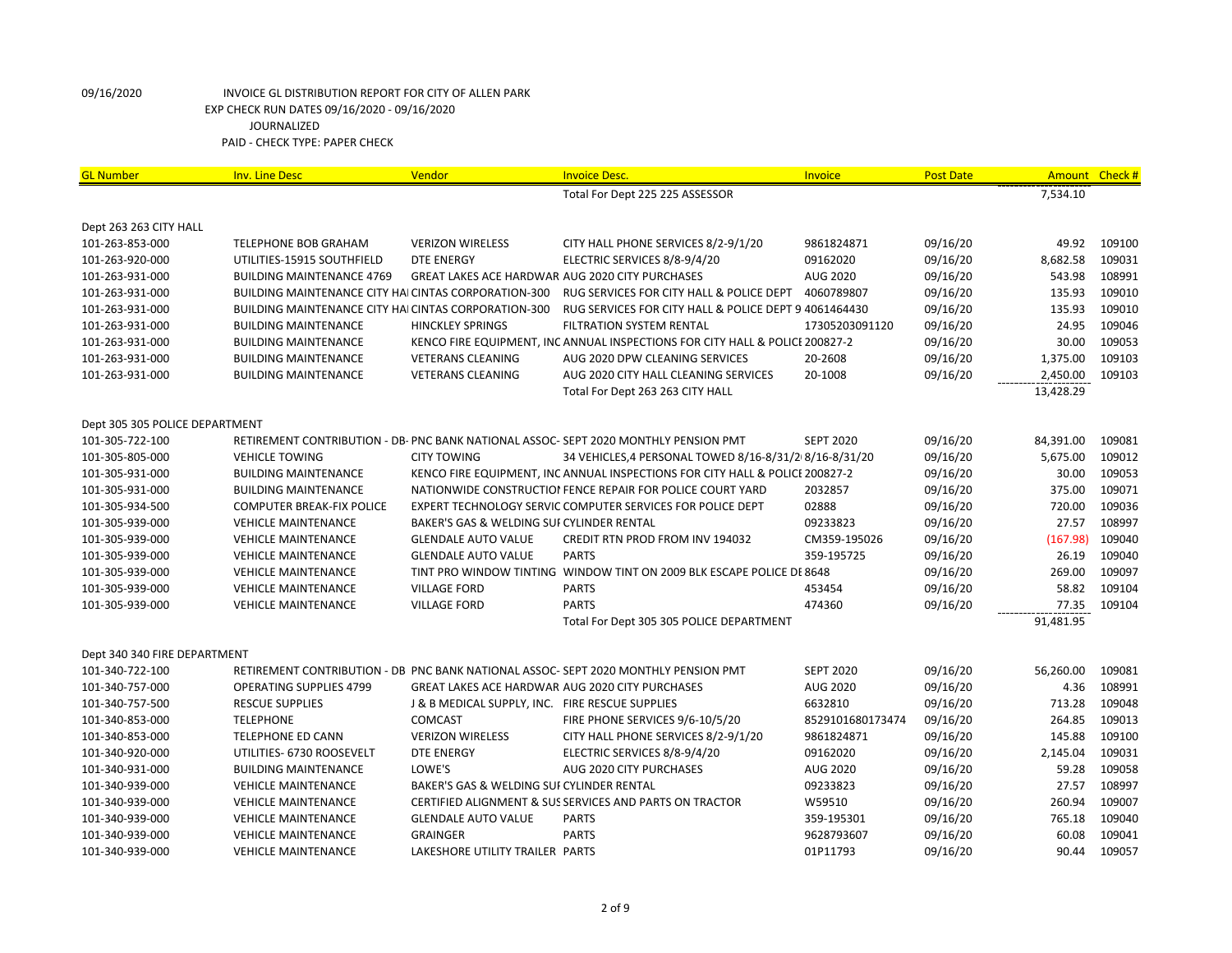| <b>GL Number</b>               | <b>Inv. Line Desc</b>                                       | Vendor                                          | <b>Invoice Desc.</b>                                                                 | Invoice          | <b>Post Date</b> | <b>Amount</b> | Check # |
|--------------------------------|-------------------------------------------------------------|-------------------------------------------------|--------------------------------------------------------------------------------------|------------------|------------------|---------------|---------|
|                                |                                                             |                                                 | Total For Dept 225 225 ASSESSOR                                                      |                  |                  | 7,534.10      |         |
| Dept 263 263 CITY HALL         |                                                             |                                                 |                                                                                      |                  |                  |               |         |
| 101-263-853-000                | <b>TELEPHONE BOB GRAHAM</b>                                 | <b>VERIZON WIRELESS</b>                         | CITY HALL PHONE SERVICES 8/2-9/1/20                                                  | 9861824871       | 09/16/20         | 49.92         | 109100  |
| 101-263-920-000                | UTILITIES-15915 SOUTHFIELD                                  | <b>DTE ENERGY</b>                               | ELECTRIC SERVICES 8/8-9/4/20                                                         | 09162020         | 09/16/20         | 8,682.58      | 109031  |
| 101-263-931-000                | <b>BUILDING MAINTENANCE 4769</b>                            |                                                 | GREAT LAKES ACE HARDWAR AUG 2020 CITY PURCHASES                                      | AUG 2020         | 09/16/20         | 543.98        | 108991  |
| 101-263-931-000                | BUILDING MAINTENANCE CITY HAI CINTAS CORPORATION-300        |                                                 | RUG SERVICES FOR CITY HALL & POLICE DEPT                                             | 4060789807       | 09/16/20         | 135.93        | 109010  |
| 101-263-931-000                | <b>BUILDING MAINTENANCE CITY HAI CINTAS CORPORATION-300</b> |                                                 | RUG SERVICES FOR CITY HALL & POLICE DEPT 9 4061464430                                |                  | 09/16/20         | 135.93        | 109010  |
| 101-263-931-000                | <b>BUILDING MAINTENANCE</b>                                 | <b>HINCKLEY SPRINGS</b>                         | FILTRATION SYSTEM RENTAL                                                             | 17305203091120   | 09/16/20         | 24.95         | 109046  |
| 101-263-931-000                | <b>BUILDING MAINTENANCE</b>                                 |                                                 | KENCO FIRE EQUIPMENT, INC ANNUAL INSPECTIONS FOR CITY HALL & POLICE 200827-2         |                  | 09/16/20         | 30.00         | 109053  |
| 101-263-931-000                | <b>BUILDING MAINTENANCE</b>                                 | <b>VETERANS CLEANING</b>                        | AUG 2020 DPW CLEANING SERVICES                                                       | 20-2608          | 09/16/20         | 1,375.00      | 109103  |
| 101-263-931-000                | <b>BUILDING MAINTENANCE</b>                                 | <b>VETERANS CLEANING</b>                        | AUG 2020 CITY HALL CLEANING SERVICES                                                 | 20-1008          | 09/16/20         | 2,450.00      | 109103  |
|                                |                                                             |                                                 | Total For Dept 263 263 CITY HALL                                                     |                  |                  | 13,428.29     |         |
| Dept 305 305 POLICE DEPARTMENT |                                                             |                                                 |                                                                                      |                  |                  |               |         |
| 101-305-722-100                |                                                             |                                                 | RETIREMENT CONTRIBUTION - DB- PNC BANK NATIONAL ASSOC- SEPT 2020 MONTHLY PENSION PMT | <b>SEPT 2020</b> | 09/16/20         | 84,391.00     | 109081  |
| 101-305-805-000                | <b>VEHICLE TOWING</b>                                       | <b>CITY TOWING</b>                              | 34 VEHICLES, 4 PERSONAL TOWED 8/16-8/31/218/16-8/31/20                               |                  | 09/16/20         | 5,675.00      | 109012  |
| 101-305-931-000                | <b>BUILDING MAINTENANCE</b>                                 |                                                 | KENCO FIRE EQUIPMENT, INC ANNUAL INSPECTIONS FOR CITY HALL & POLICE 200827-2         |                  | 09/16/20         | 30.00         | 109053  |
| 101-305-931-000                | <b>BUILDING MAINTENANCE</b>                                 |                                                 | NATIONWIDE CONSTRUCTION FENCE REPAIR FOR POLICE COURT YARD                           | 2032857          | 09/16/20         | 375.00        | 109071  |
| 101-305-934-500                | <b>COMPUTER BREAK-FIX POLICE</b>                            |                                                 | EXPERT TECHNOLOGY SERVIC COMPUTER SERVICES FOR POLICE DEPT                           | 02888            | 09/16/20         | 720.00        | 109036  |
| 101-305-939-000                | <b>VEHICLE MAINTENANCE</b>                                  | BAKER'S GAS & WELDING SUI CYLINDER RENTAL       |                                                                                      | 09233823         | 09/16/20         | 27.57         | 108997  |
| 101-305-939-000                | <b>VEHICLE MAINTENANCE</b>                                  | <b>GLENDALE AUTO VALUE</b>                      | <b>CREDIT RTN PROD FROM INV 194032</b>                                               | CM359-195026     | 09/16/20         | (167.98)      | 109040  |
| 101-305-939-000                | <b>VEHICLE MAINTENANCE</b>                                  | <b>GLENDALE AUTO VALUE</b>                      | <b>PARTS</b>                                                                         | 359-195725       | 09/16/20         | 26.19         | 109040  |
| 101-305-939-000                | <b>VEHICLE MAINTENANCE</b>                                  |                                                 | TINT PRO WINDOW TINTING WINDOW TINT ON 2009 BLK ESCAPE POLICE DE 8648                |                  | 09/16/20         | 269.00        | 109097  |
| 101-305-939-000                | <b>VEHICLE MAINTENANCE</b>                                  | <b>VILLAGE FORD</b>                             | <b>PARTS</b>                                                                         | 453454           | 09/16/20         | 58.82         | 109104  |
| 101-305-939-000                | <b>VEHICLE MAINTENANCE</b>                                  | <b>VILLAGE FORD</b>                             | <b>PARTS</b>                                                                         | 474360           | 09/16/20         | 77.35         | 109104  |
|                                |                                                             |                                                 | Total For Dept 305 305 POLICE DEPARTMENT                                             |                  |                  | 91,481.95     |         |
| Dept 340 340 FIRE DEPARTMENT   |                                                             |                                                 |                                                                                      |                  |                  |               |         |
| 101-340-722-100                |                                                             |                                                 | RETIREMENT CONTRIBUTION - DB PNC BANK NATIONAL ASSOC- SEPT 2020 MONTHLY PENSION PMT  | <b>SEPT 2020</b> | 09/16/20         | 56,260.00     | 109081  |
| 101-340-757-000                | <b>OPERATING SUPPLIES 4799</b>                              |                                                 | GREAT LAKES ACE HARDWAR AUG 2020 CITY PURCHASES                                      | AUG 2020         | 09/16/20         | 4.36          | 108991  |
| 101-340-757-500                | <b>RESCUE SUPPLIES</b>                                      | J & B MEDICAL SUPPLY, INC. FIRE RESCUE SUPPLIES |                                                                                      | 6632810          | 09/16/20         | 713.28        | 109048  |
| 101-340-853-000                | <b>TELEPHONE</b>                                            | <b>COMCAST</b>                                  | FIRE PHONE SERVICES 9/6-10/5/20                                                      | 8529101680173474 | 09/16/20         | 264.85        | 109013  |
| 101-340-853-000                | <b>TELEPHONE ED CANN</b>                                    | <b>VERIZON WIRELESS</b>                         | CITY HALL PHONE SERVICES 8/2-9/1/20                                                  | 9861824871       | 09/16/20         | 145.88        | 109100  |
| 101-340-920-000                | UTILITIES- 6730 ROOSEVELT                                   | <b>DTE ENERGY</b>                               | ELECTRIC SERVICES 8/8-9/4/20                                                         | 09162020         | 09/16/20         | 2,145.04      | 109031  |
| 101-340-931-000                | <b>BUILDING MAINTENANCE</b>                                 | LOWE'S                                          | AUG 2020 CITY PURCHASES                                                              | AUG 2020         | 09/16/20         | 59.28         | 109058  |
| 101-340-939-000                | <b>VEHICLE MAINTENANCE</b>                                  | BAKER'S GAS & WELDING SUI CYLINDER RENTAL       |                                                                                      | 09233823         | 09/16/20         | 27.57         | 108997  |
| 101-340-939-000                | <b>VEHICLE MAINTENANCE</b>                                  |                                                 | CERTIFIED ALIGNMENT & SUS SERVICES AND PARTS ON TRACTOR                              | W59510           | 09/16/20         | 260.94        | 109007  |
| 101-340-939-000                | <b>VEHICLE MAINTENANCE</b>                                  | <b>GLENDALE AUTO VALUE</b>                      | <b>PARTS</b>                                                                         | 359-195301       | 09/16/20         | 765.18        | 109040  |
| 101-340-939-000                | <b>VEHICLE MAINTENANCE</b>                                  | <b>GRAINGER</b>                                 | <b>PARTS</b>                                                                         | 9628793607       | 09/16/20         | 60.08         | 109041  |
| 101-340-939-000                | <b>VEHICLE MAINTENANCE</b>                                  | LAKESHORE UTILITY TRAILER PARTS                 |                                                                                      | 01P11793         | 09/16/20         | 90.44         | 109057  |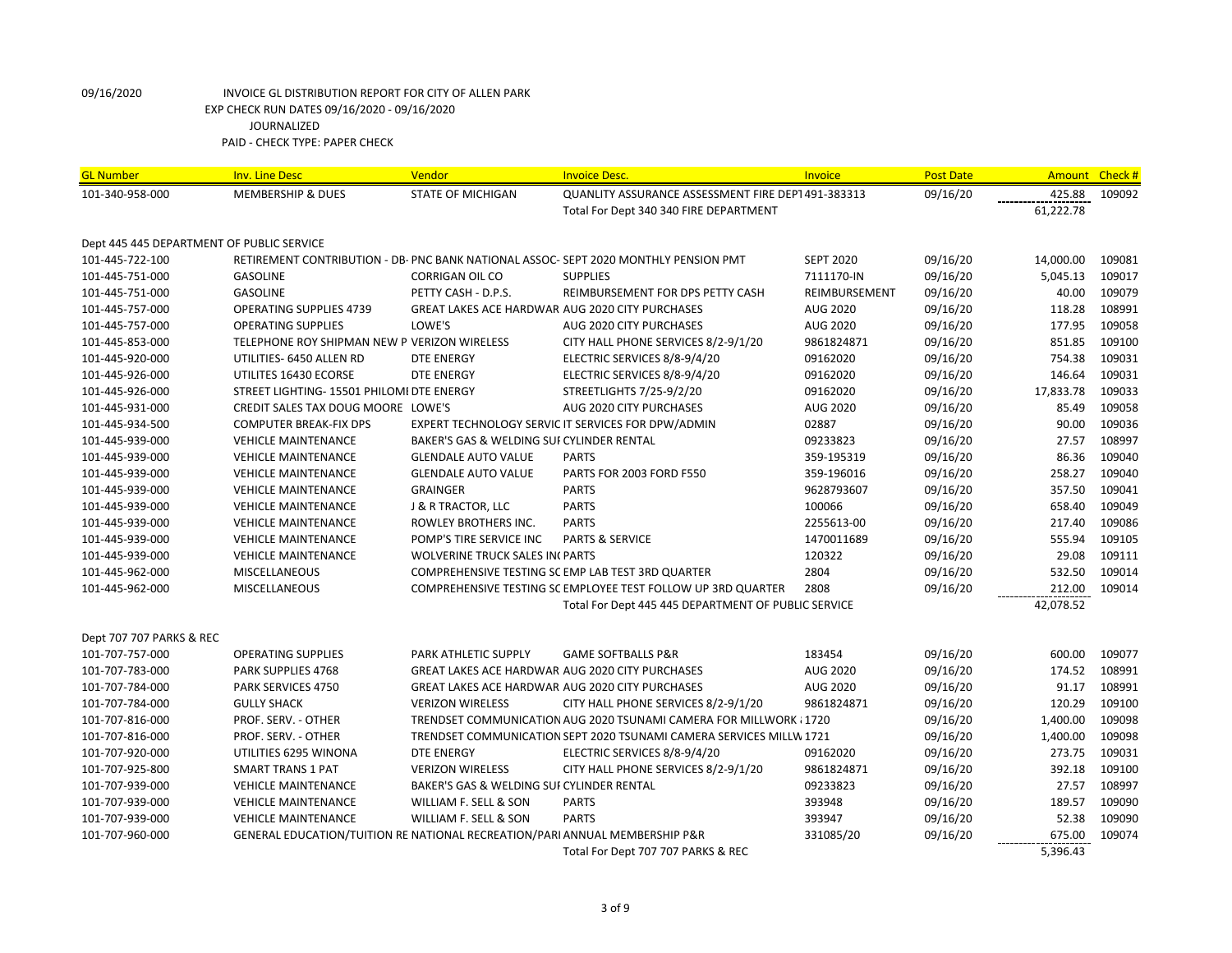| <b>GL Number</b>                          | <b>Inv. Line Desc</b>                                                       | Vendor                                                 | <b>Invoice Desc.</b>                                                                 | <b>Invoice</b>   | <b>Post Date</b> | Amount Check # |        |
|-------------------------------------------|-----------------------------------------------------------------------------|--------------------------------------------------------|--------------------------------------------------------------------------------------|------------------|------------------|----------------|--------|
| 101-340-958-000                           | <b>MEMBERSHIP &amp; DUES</b>                                                | <b>STATE OF MICHIGAN</b>                               | QUANLITY ASSURANCE ASSESSMENT FIRE DEPT 491-383313                                   |                  | 09/16/20         | 425.88         | 109092 |
|                                           |                                                                             |                                                        | Total For Dept 340 340 FIRE DEPARTMENT                                               |                  |                  | 61,222.78      |        |
|                                           |                                                                             |                                                        |                                                                                      |                  |                  |                |        |
| Dept 445 445 DEPARTMENT OF PUBLIC SERVICE |                                                                             |                                                        |                                                                                      |                  |                  |                |        |
| 101-445-722-100                           |                                                                             |                                                        | RETIREMENT CONTRIBUTION - DB- PNC BANK NATIONAL ASSOC- SEPT 2020 MONTHLY PENSION PMT | <b>SEPT 2020</b> | 09/16/20         | 14,000.00      | 109081 |
| 101-445-751-000                           | <b>GASOLINE</b>                                                             | <b>CORRIGAN OIL CO</b>                                 | <b>SUPPLIES</b>                                                                      | 7111170-IN       | 09/16/20         | 5,045.13       | 109017 |
| 101-445-751-000                           | <b>GASOLINE</b>                                                             | PETTY CASH - D.P.S.                                    | REIMBURSEMENT FOR DPS PETTY CASH                                                     | REIMBURSEMENT    | 09/16/20         | 40.00          | 109079 |
| 101-445-757-000                           | <b>OPERATING SUPPLIES 4739</b>                                              | GREAT LAKES ACE HARDWAR AUG 2020 CITY PURCHASES        |                                                                                      | <b>AUG 2020</b>  | 09/16/20         | 118.28         | 108991 |
| 101-445-757-000                           | <b>OPERATING SUPPLIES</b>                                                   | LOWE'S                                                 | AUG 2020 CITY PURCHASES                                                              | AUG 2020         | 09/16/20         | 177.95         | 109058 |
| 101-445-853-000                           | TELEPHONE ROY SHIPMAN NEW P VERIZON WIRELESS                                |                                                        | CITY HALL PHONE SERVICES 8/2-9/1/20                                                  | 9861824871       | 09/16/20         | 851.85         | 109100 |
| 101-445-920-000                           | UTILITIES- 6450 ALLEN RD                                                    | <b>DTE ENERGY</b>                                      | ELECTRIC SERVICES 8/8-9/4/20                                                         | 09162020         | 09/16/20         | 754.38         | 109031 |
| 101-445-926-000                           | UTILITES 16430 ECORSE                                                       | <b>DTE ENERGY</b>                                      | ELECTRIC SERVICES 8/8-9/4/20                                                         | 09162020         | 09/16/20         | 146.64         | 109031 |
| 101-445-926-000                           | STREET LIGHTING- 15501 PHILOMI DTE ENERGY                                   |                                                        | STREETLIGHTS 7/25-9/2/20                                                             | 09162020         | 09/16/20         | 17,833.78      | 109033 |
| 101-445-931-000                           | CREDIT SALES TAX DOUG MOORE LOWE'S                                          |                                                        | AUG 2020 CITY PURCHASES                                                              | AUG 2020         | 09/16/20         | 85.49          | 109058 |
| 101-445-934-500                           | <b>COMPUTER BREAK-FIX DPS</b>                                               |                                                        | EXPERT TECHNOLOGY SERVIC IT SERVICES FOR DPW/ADMIN                                   | 02887            | 09/16/20         | 90.00          | 109036 |
| 101-445-939-000                           | <b>VEHICLE MAINTENANCE</b>                                                  | BAKER'S GAS & WELDING SUI CYLINDER RENTAL              |                                                                                      | 09233823         | 09/16/20         | 27.57          | 108997 |
| 101-445-939-000                           | <b>VEHICLE MAINTENANCE</b>                                                  | <b>GLENDALE AUTO VALUE</b>                             | <b>PARTS</b>                                                                         | 359-195319       | 09/16/20         | 86.36          | 109040 |
| 101-445-939-000                           | <b>VEHICLE MAINTENANCE</b>                                                  | <b>GLENDALE AUTO VALUE</b>                             | PARTS FOR 2003 FORD F550                                                             | 359-196016       | 09/16/20         | 258.27         | 109040 |
| 101-445-939-000                           | <b>VEHICLE MAINTENANCE</b>                                                  | <b>GRAINGER</b>                                        | <b>PARTS</b>                                                                         | 9628793607       | 09/16/20         | 357.50         | 109041 |
| 101-445-939-000                           | <b>VEHICLE MAINTENANCE</b>                                                  | <b>J &amp; R TRACTOR, LLC</b>                          | <b>PARTS</b>                                                                         | 100066           | 09/16/20         | 658.40         | 109049 |
| 101-445-939-000                           | <b>VEHICLE MAINTENANCE</b>                                                  | ROWLEY BROTHERS INC.                                   | <b>PARTS</b>                                                                         | 2255613-00       | 09/16/20         | 217.40         | 109086 |
| 101-445-939-000                           | <b>VEHICLE MAINTENANCE</b>                                                  | POMP'S TIRE SERVICE INC                                | <b>PARTS &amp; SERVICE</b>                                                           | 1470011689       | 09/16/20         | 555.94         | 109105 |
| 101-445-939-000                           | <b>VEHICLE MAINTENANCE</b>                                                  | <b>WOLVERINE TRUCK SALES IN PARTS</b>                  |                                                                                      | 120322           | 09/16/20         | 29.08          | 109111 |
| 101-445-962-000                           | <b>MISCELLANEOUS</b>                                                        |                                                        | COMPREHENSIVE TESTING SC EMP LAB TEST 3RD QUARTER                                    | 2804             | 09/16/20         | 532.50         | 109014 |
| 101-445-962-000                           | <b>MISCELLANEOUS</b>                                                        |                                                        | COMPREHENSIVE TESTING SC EMPLOYEE TEST FOLLOW UP 3RD QUARTER                         | 2808             | 09/16/20         | 212.00         | 109014 |
|                                           |                                                                             |                                                        | Total For Dept 445 445 DEPARTMENT OF PUBLIC SERVICE                                  |                  |                  | 42,078.52      |        |
|                                           |                                                                             |                                                        |                                                                                      |                  |                  |                |        |
| Dept 707 707 PARKS & REC                  |                                                                             |                                                        |                                                                                      |                  |                  |                |        |
| 101-707-757-000                           | <b>OPERATING SUPPLIES</b>                                                   | PARK ATHLETIC SUPPLY                                   | <b>GAME SOFTBALLS P&amp;R</b>                                                        | 183454           | 09/16/20         | 600.00         | 109077 |
| 101-707-783-000                           | <b>PARK SUPPLIES 4768</b>                                                   | <b>GREAT LAKES ACE HARDWAR AUG 2020 CITY PURCHASES</b> |                                                                                      | <b>AUG 2020</b>  | 09/16/20         | 174.52         | 108991 |
| 101-707-784-000                           | PARK SERVICES 4750                                                          | GREAT LAKES ACE HARDWAR AUG 2020 CITY PURCHASES        |                                                                                      | AUG 2020         | 09/16/20         | 91.17          | 108991 |
| 101-707-784-000                           | <b>GULLY SHACK</b>                                                          | <b>VERIZON WIRELESS</b>                                | CITY HALL PHONE SERVICES 8/2-9/1/20                                                  | 9861824871       | 09/16/20         | 120.29         | 109100 |
| 101-707-816-000                           | PROF. SERV. - OTHER                                                         |                                                        | TRENDSET COMMUNICATION AUG 2020 TSUNAMI CAMERA FOR MILLWORK {1720                    |                  | 09/16/20         | 1,400.00       | 109098 |
| 101-707-816-000                           | PROF. SERV. - OTHER                                                         |                                                        | TRENDSET COMMUNICATION SEPT 2020 TSUNAMI CAMERA SERVICES MILLW 1721                  |                  | 09/16/20         | 1,400.00       | 109098 |
| 101-707-920-000                           | UTILITIES 6295 WINONA                                                       | <b>DTE ENERGY</b>                                      | ELECTRIC SERVICES 8/8-9/4/20                                                         | 09162020         | 09/16/20         | 273.75         | 109031 |
| 101-707-925-800                           | <b>SMART TRANS 1 PAT</b>                                                    | <b>VERIZON WIRELESS</b>                                | CITY HALL PHONE SERVICES 8/2-9/1/20                                                  | 9861824871       | 09/16/20         | 392.18         | 109100 |
| 101-707-939-000                           | <b>VEHICLE MAINTENANCE</b>                                                  | BAKER'S GAS & WELDING SUI CYLINDER RENTAL              |                                                                                      | 09233823         | 09/16/20         | 27.57          | 108997 |
| 101-707-939-000                           | <b>VEHICLE MAINTENANCE</b>                                                  | WILLIAM F. SELL & SON                                  | <b>PARTS</b>                                                                         | 393948           | 09/16/20         | 189.57         | 109090 |
| 101-707-939-000                           | <b>VEHICLE MAINTENANCE</b>                                                  | WILLIAM F. SELL & SON                                  | <b>PARTS</b>                                                                         | 393947           | 09/16/20         | 52.38          | 109090 |
| 101-707-960-000                           | GENERAL EDUCATION/TUITION RE NATIONAL RECREATION/PARI ANNUAL MEMBERSHIP P&R |                                                        |                                                                                      | 331085/20        | 09/16/20         | 675.00         | 109074 |
|                                           |                                                                             |                                                        | Total For Dept 707 707 PARKS & REC                                                   |                  |                  | 5,396.43       |        |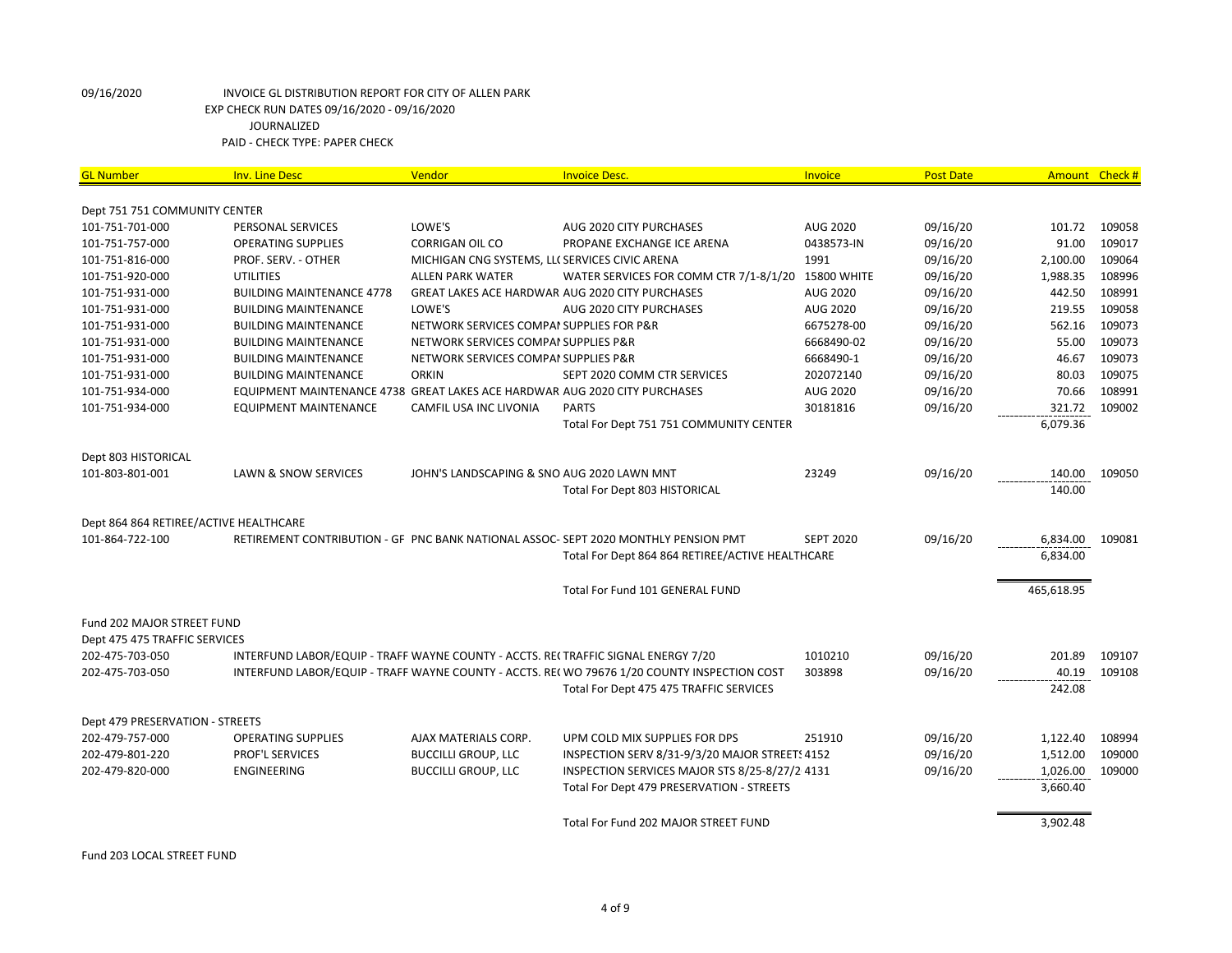| <b>GL Number</b>                       | <b>Inv. Line Desc</b>                                                             | Vendor                                         | <b>Invoice Desc.</b>                                                                         | <b>Invoice</b>   | <b>Post Date</b> | Amount Check # |        |
|----------------------------------------|-----------------------------------------------------------------------------------|------------------------------------------------|----------------------------------------------------------------------------------------------|------------------|------------------|----------------|--------|
| Dept 751 751 COMMUNITY CENTER          |                                                                                   |                                                |                                                                                              |                  |                  |                |        |
| 101-751-701-000                        | PERSONAL SERVICES                                                                 | LOWE'S                                         | AUG 2020 CITY PURCHASES                                                                      | <b>AUG 2020</b>  | 09/16/20         | 101.72         | 109058 |
| 101-751-757-000                        | <b>OPERATING SUPPLIES</b>                                                         | <b>CORRIGAN OIL CO</b>                         | PROPANE EXCHANGE ICE ARENA                                                                   | 0438573-IN       | 09/16/20         | 91.00          | 109017 |
| 101-751-816-000                        | PROF. SERV. - OTHER                                                               | MICHIGAN CNG SYSTEMS, LLI SERVICES CIVIC ARENA |                                                                                              | 1991             | 09/16/20         | 2,100.00       | 109064 |
| 101-751-920-000                        | <b>UTILITIES</b>                                                                  | <b>ALLEN PARK WATER</b>                        | WATER SERVICES FOR COMM CTR 7/1-8/1/20 15800 WHITE                                           |                  | 09/16/20         | 1,988.35       | 108996 |
| 101-751-931-000                        | <b>BUILDING MAINTENANCE 4778</b>                                                  |                                                | <b>GREAT LAKES ACE HARDWAR AUG 2020 CITY PURCHASES</b>                                       | AUG 2020         | 09/16/20         | 442.50         | 108991 |
| 101-751-931-000                        | <b>BUILDING MAINTENANCE</b>                                                       | LOWE'S                                         | AUG 2020 CITY PURCHASES                                                                      | <b>AUG 2020</b>  | 09/16/20         | 219.55         | 109058 |
| 101-751-931-000                        | <b>BUILDING MAINTENANCE</b>                                                       | NETWORK SERVICES COMPAI SUPPLIES FOR P&R       |                                                                                              | 6675278-00       | 09/16/20         | 562.16         | 109073 |
| 101-751-931-000                        | <b>BUILDING MAINTENANCE</b>                                                       | NETWORK SERVICES COMPAI SUPPLIES P&R           |                                                                                              | 6668490-02       | 09/16/20         | 55.00          | 109073 |
| 101-751-931-000                        | <b>BUILDING MAINTENANCE</b>                                                       | NETWORK SERVICES COMPAI SUPPLIES P&R           |                                                                                              | 6668490-1        | 09/16/20         | 46.67          | 109073 |
| 101-751-931-000                        | <b>BUILDING MAINTENANCE</b>                                                       | <b>ORKIN</b>                                   | SEPT 2020 COMM CTR SERVICES                                                                  | 202072140        | 09/16/20         | 80.03          | 109075 |
| 101-751-934-000                        | EQUIPMENT MAINTENANCE 4738 GREAT LAKES ACE HARDWAR AUG 2020 CITY PURCHASES        |                                                |                                                                                              | AUG 2020         | 09/16/20         | 70.66          | 108991 |
| 101-751-934-000                        | <b>EQUIPMENT MAINTENANCE</b>                                                      | CAMFIL USA INC LIVONIA                         | <b>PARTS</b>                                                                                 | 30181816         | 09/16/20         | 321.72         | 109002 |
|                                        |                                                                                   |                                                | Total For Dept 751 751 COMMUNITY CENTER                                                      |                  |                  | 6,079.36       |        |
|                                        |                                                                                   |                                                |                                                                                              |                  |                  |                |        |
| Dept 803 HISTORICAL                    |                                                                                   |                                                |                                                                                              |                  |                  |                |        |
| 101-803-801-001                        | LAWN & SNOW SERVICES                                                              | JOHN'S LANDSCAPING & SNO AUG 2020 LAWN MNT     |                                                                                              | 23249            | 09/16/20         | 140.00         | 109050 |
|                                        |                                                                                   |                                                | <b>Total For Dept 803 HISTORICAL</b>                                                         |                  |                  | 140.00         |        |
|                                        |                                                                                   |                                                |                                                                                              |                  |                  |                |        |
| Dept 864 864 RETIREE/ACTIVE HEALTHCARE |                                                                                   |                                                |                                                                                              |                  |                  |                |        |
| 101-864-722-100                        |                                                                                   |                                                | RETIREMENT CONTRIBUTION - GF PNC BANK NATIONAL ASSOC-SEPT 2020 MONTHLY PENSION PMT           | <b>SEPT 2020</b> | 09/16/20         | 6,834.00       | 109081 |
|                                        |                                                                                   |                                                | Total For Dept 864 864 RETIREE/ACTIVE HEALTHCARE                                             |                  |                  | 6,834.00       |        |
|                                        |                                                                                   |                                                |                                                                                              |                  |                  |                |        |
|                                        |                                                                                   |                                                | Total For Fund 101 GENERAL FUND                                                              |                  |                  | 465,618.95     |        |
| Fund 202 MAJOR STREET FUND             |                                                                                   |                                                |                                                                                              |                  |                  |                |        |
| Dept 475 475 TRAFFIC SERVICES          |                                                                                   |                                                |                                                                                              |                  |                  |                |        |
| 202-475-703-050                        | INTERFUND LABOR/EQUIP - TRAFF WAYNE COUNTY - ACCTS. RECTRAFFIC SIGNAL ENERGY 7/20 |                                                |                                                                                              | 1010210          | 09/16/20         | 201.89         | 109107 |
| 202-475-703-050                        |                                                                                   |                                                | INTERFUND LABOR/EQUIP - TRAFF WAYNE COUNTY - ACCTS. RE( WO 79676 1/20 COUNTY INSPECTION COST | 303898           | 09/16/20         | 40.19          | 109108 |
|                                        |                                                                                   |                                                | Total For Dept 475 475 TRAFFIC SERVICES                                                      |                  |                  | 242.08         |        |
|                                        |                                                                                   |                                                |                                                                                              |                  |                  |                |        |
| Dept 479 PRESERVATION - STREETS        |                                                                                   |                                                |                                                                                              |                  |                  |                |        |
| 202-479-757-000                        | <b>OPERATING SUPPLIES</b>                                                         | AJAX MATERIALS CORP.                           | UPM COLD MIX SUPPLIES FOR DPS                                                                | 251910           | 09/16/20         | 1,122.40       | 108994 |
| 202-479-801-220                        | <b>PROF'L SERVICES</b>                                                            | <b>BUCCILLI GROUP, LLC</b>                     | INSPECTION SERV 8/31-9/3/20 MAJOR STREETS 4152                                               |                  | 09/16/20         | 1,512.00       | 109000 |
| 202-479-820-000                        | <b>ENGINEERING</b>                                                                | <b>BUCCILLI GROUP, LLC</b>                     | INSPECTION SERVICES MAJOR STS 8/25-8/27/2/4131                                               |                  | 09/16/20         | 1,026.00       | 109000 |
|                                        |                                                                                   |                                                | Total For Dept 479 PRESERVATION - STREETS                                                    |                  |                  | 3,660.40       |        |
|                                        |                                                                                   |                                                |                                                                                              |                  |                  |                |        |
|                                        |                                                                                   |                                                | Total For Fund 202 MAJOR STREET FUND                                                         |                  |                  | 3,902.48       |        |

Fund 203 LOCAL STREET FUND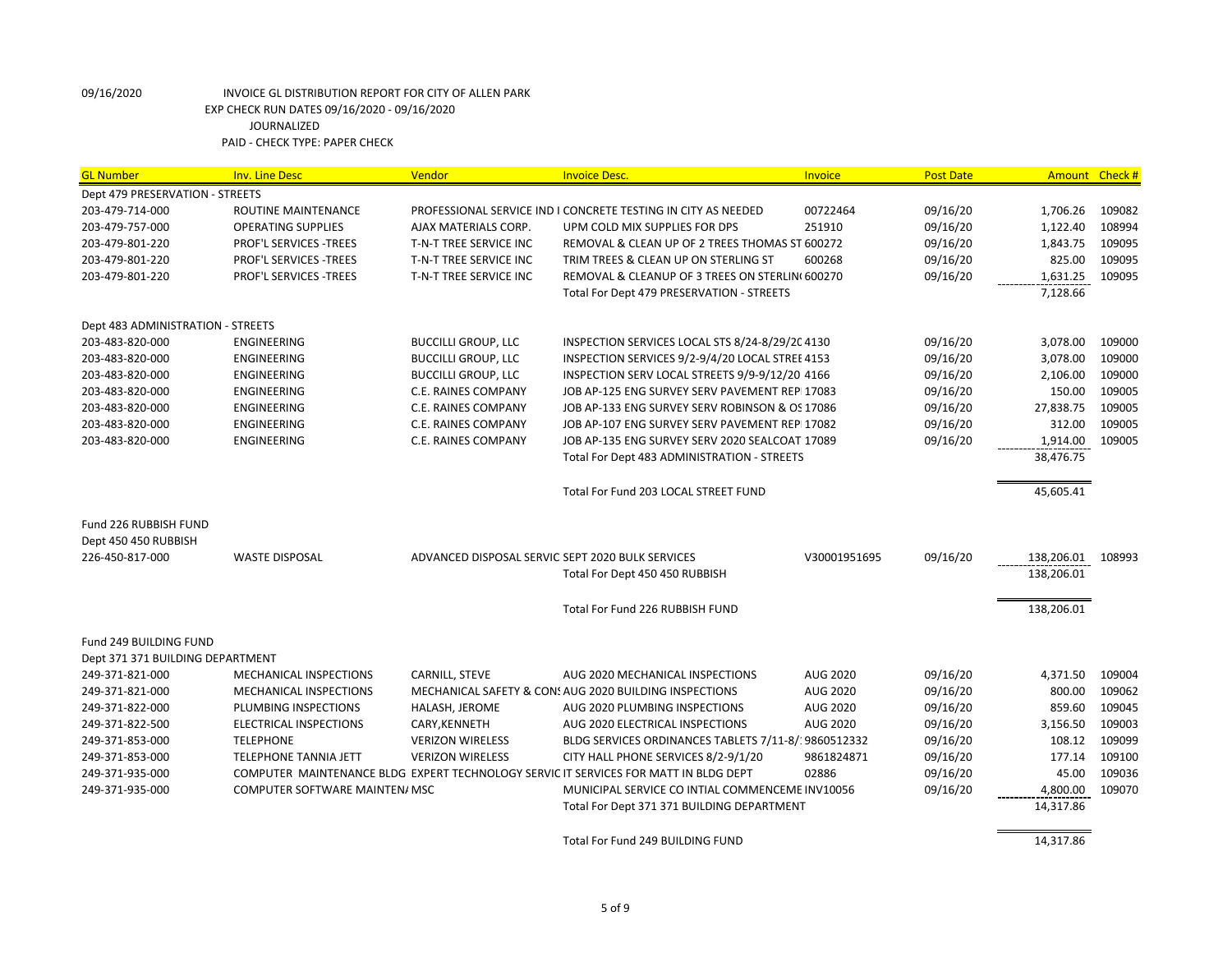| <b>GL Number</b>                  | <b>Inv. Line Desc</b>                 | Vendor                                           | <b>Invoice Desc.</b>                                                                 | Invoice         | <b>Post Date</b> | Amount Check #    |        |
|-----------------------------------|---------------------------------------|--------------------------------------------------|--------------------------------------------------------------------------------------|-----------------|------------------|-------------------|--------|
| Dept 479 PRESERVATION - STREETS   |                                       |                                                  |                                                                                      |                 |                  |                   |        |
| 203-479-714-000                   | ROUTINE MAINTENANCE                   |                                                  | PROFESSIONAL SERVICE IND I CONCRETE TESTING IN CITY AS NEEDED                        | 00722464        | 09/16/20         | 1,706.26          | 109082 |
| 203-479-757-000                   | <b>OPERATING SUPPLIES</b>             | AJAX MATERIALS CORP.                             | UPM COLD MIX SUPPLIES FOR DPS                                                        | 251910          | 09/16/20         | 1,122.40          | 108994 |
| 203-479-801-220                   | PROF'L SERVICES -TREES                | T-N-T TREE SERVICE INC                           | REMOVAL & CLEAN UP OF 2 TREES THOMAS ST 600272                                       |                 | 09/16/20         | 1,843.75          | 109095 |
| 203-479-801-220                   | PROF'L SERVICES -TREES                | T-N-T TREE SERVICE INC                           | TRIM TREES & CLEAN UP ON STERLING ST                                                 | 600268          | 09/16/20         | 825.00            | 109095 |
| 203-479-801-220                   | PROF'L SERVICES - TREES               | T-N-T TREE SERVICE INC                           | REMOVAL & CLEANUP OF 3 TREES ON STERLIN(600270                                       |                 | 09/16/20         | 1,631.25          | 109095 |
|                                   |                                       |                                                  | Total For Dept 479 PRESERVATION - STREETS                                            |                 |                  | 7,128.66          |        |
| Dept 483 ADMINISTRATION - STREETS |                                       |                                                  |                                                                                      |                 |                  |                   |        |
| 203-483-820-000                   | ENGINEERING                           | <b>BUCCILLI GROUP, LLC</b>                       | INSPECTION SERVICES LOCAL STS 8/24-8/29/204130                                       |                 | 09/16/20         | 3,078.00          | 109000 |
| 203-483-820-000                   | <b>ENGINEERING</b>                    | <b>BUCCILLI GROUP, LLC</b>                       | INSPECTION SERVICES 9/2-9/4/20 LOCAL STREE 4153                                      |                 | 09/16/20         | 3,078.00          | 109000 |
| 203-483-820-000                   | <b>ENGINEERING</b>                    | <b>BUCCILLI GROUP, LLC</b>                       | INSPECTION SERV LOCAL STREETS 9/9-9/12/20 4166                                       |                 | 09/16/20         | 2,106.00          | 109000 |
| 203-483-820-000                   | <b>ENGINEERING</b>                    | C.E. RAINES COMPANY                              | JOB AP-125 ENG SURVEY SERV PAVEMENT REPI17083                                        |                 | 09/16/20         | 150.00            | 109005 |
| 203-483-820-000                   | ENGINEERING                           | C.E. RAINES COMPANY                              | JOB AP-133 ENG SURVEY SERV ROBINSON & OS 17086                                       |                 | 09/16/20         | 27,838.75         | 109005 |
| 203-483-820-000                   | ENGINEERING                           | C.E. RAINES COMPANY                              | JOB AP-107 ENG SURVEY SERV PAVEMENT REPI17082                                        |                 | 09/16/20         | 312.00            | 109005 |
| 203-483-820-000                   | ENGINEERING                           | C.E. RAINES COMPANY                              | JOB AP-135 ENG SURVEY SERV 2020 SEALCOAT 17089                                       |                 | 09/16/20         | 1,914.00          | 109005 |
|                                   |                                       |                                                  | Total For Dept 483 ADMINISTRATION - STREETS                                          |                 |                  | 38,476.75         |        |
|                                   |                                       |                                                  | Total For Fund 203 LOCAL STREET FUND                                                 |                 |                  | 45,605.41         |        |
| Fund 226 RUBBISH FUND             |                                       |                                                  |                                                                                      |                 |                  |                   |        |
| Dept 450 450 RUBBISH              |                                       |                                                  |                                                                                      |                 |                  |                   |        |
| 226-450-817-000                   | <b>WASTE DISPOSAL</b>                 | ADVANCED DISPOSAL SERVIC SEPT 2020 BULK SERVICES |                                                                                      | V30001951695    | 09/16/20         | 138,206.01 108993 |        |
|                                   |                                       |                                                  | Total For Dept 450 450 RUBBISH                                                       |                 |                  | 138,206.01        |        |
|                                   |                                       |                                                  | Total For Fund 226 RUBBISH FUND                                                      |                 |                  | 138,206.01        |        |
| <b>Fund 249 BUILDING FUND</b>     |                                       |                                                  |                                                                                      |                 |                  |                   |        |
| Dept 371 371 BUILDING DEPARTMENT  |                                       |                                                  |                                                                                      |                 |                  |                   |        |
| 249-371-821-000                   | MECHANICAL INSPECTIONS                | CARNILL, STEVE                                   | AUG 2020 MECHANICAL INSPECTIONS                                                      | AUG 2020        | 09/16/20         | 4,371.50          | 109004 |
| 249-371-821-000                   | MECHANICAL INSPECTIONS                |                                                  | MECHANICAL SAFETY & CON: AUG 2020 BUILDING INSPECTIONS                               | AUG 2020        | 09/16/20         | 800.00            | 109062 |
| 249-371-822-000                   | PLUMBING INSPECTIONS                  | HALASH, JEROME                                   | AUG 2020 PLUMBING INSPECTIONS                                                        | <b>AUG 2020</b> | 09/16/20         | 859.60            | 109045 |
| 249-371-822-500                   | ELECTRICAL INSPECTIONS                | CARY, KENNETH                                    | AUG 2020 ELECTRICAL INSPECTIONS                                                      | AUG 2020        | 09/16/20         | 3,156.50          | 109003 |
| 249-371-853-000                   | <b>TELEPHONE</b>                      | <b>VERIZON WIRELESS</b>                          | BLDG SERVICES ORDINANCES TABLETS 7/11-8/19860512332                                  |                 | 09/16/20         | 108.12            | 109099 |
| 249-371-853-000                   | <b>TELEPHONE TANNIA JETT</b>          | <b>VERIZON WIRELESS</b>                          | CITY HALL PHONE SERVICES 8/2-9/1/20                                                  | 9861824871      | 09/16/20         | 177.14            | 109100 |
| 249-371-935-000                   |                                       |                                                  | COMPUTER MAINTENANCE BLDG EXPERT TECHNOLOGY SERVIC IT SERVICES FOR MATT IN BLDG DEPT | 02886           | 09/16/20         | 45.00             | 109036 |
| 249-371-935-000                   | <b>COMPUTER SOFTWARE MAINTEN/ MSC</b> |                                                  | MUNICIPAL SERVICE CO INTIAL COMMENCEME INV10056                                      |                 | 09/16/20         | 4,800.00          | 109070 |
|                                   |                                       |                                                  | Total For Dept 371 371 BUILDING DEPARTMENT                                           |                 |                  | 14,317.86         |        |
|                                   |                                       |                                                  | Total For Fund 249 BUILDING FUND                                                     |                 |                  | 14,317.86         |        |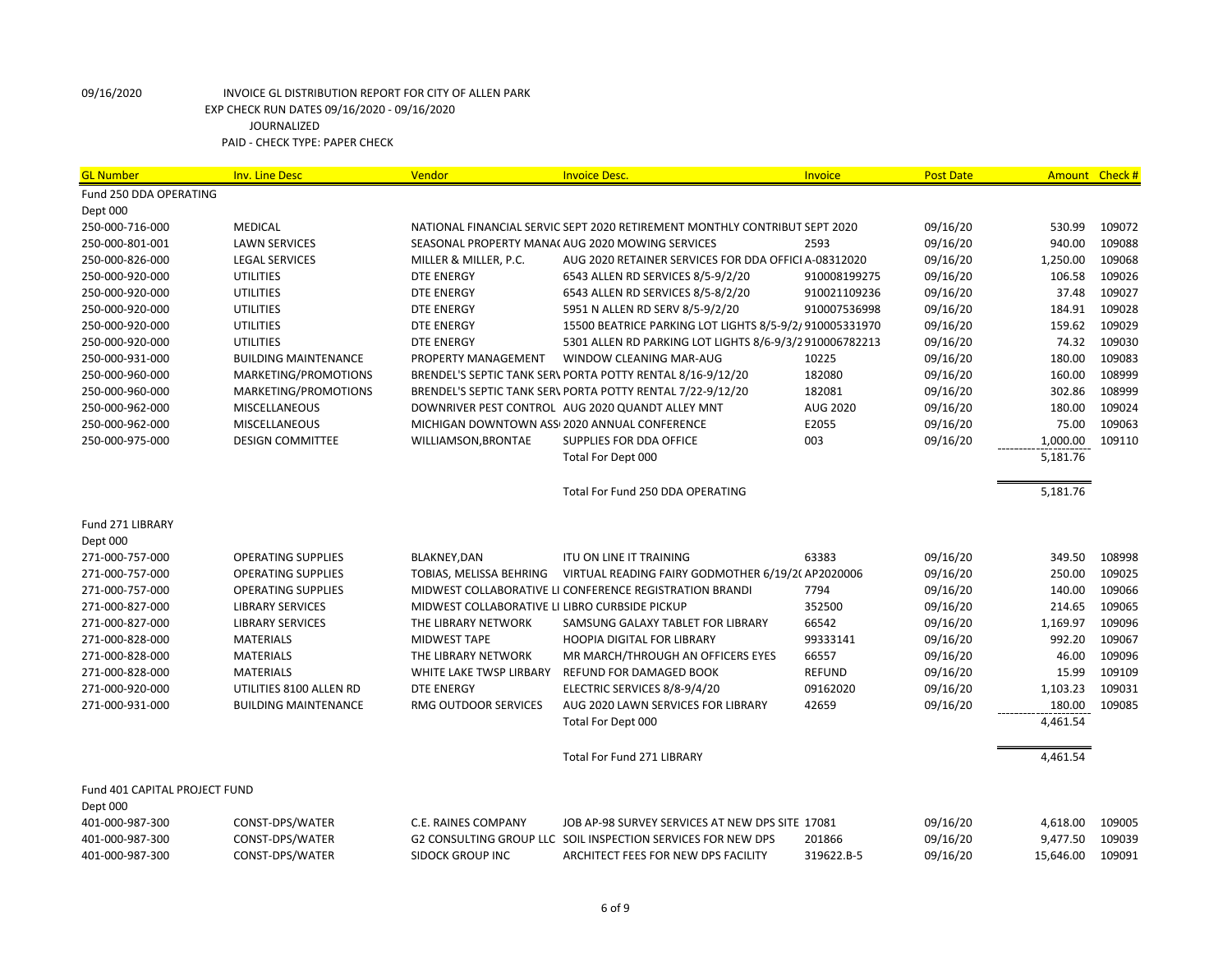| Fund 250 DDA OPERATING                                                                                                                             |                 |
|----------------------------------------------------------------------------------------------------------------------------------------------------|-----------------|
|                                                                                                                                                    |                 |
| Dept 000                                                                                                                                           |                 |
| 250-000-716-000<br><b>MEDICAL</b><br>NATIONAL FINANCIAL SERVIC SEPT 2020 RETIREMENT MONTHLY CONTRIBUT SEPT 2020<br>09/16/20<br>530.99              | 109072          |
| 09/16/20<br>940.00<br>250-000-801-001<br><b>LAWN SERVICES</b><br>SEASONAL PROPERTY MANA( AUG 2020 MOWING SERVICES<br>2593                          | 109088          |
| AUG 2020 RETAINER SERVICES FOR DDA OFFICI A-08312020<br>09/16/20<br>1,250.00<br>250-000-826-000<br><b>LEGAL SERVICES</b><br>MILLER & MILLER, P.C.  | 109068          |
| <b>UTILITIES</b><br>09/16/20<br>106.58<br>250-000-920-000<br><b>DTE ENERGY</b><br>6543 ALLEN RD SERVICES 8/5-9/2/20<br>910008199275                | 109026          |
| 250-000-920-000<br><b>UTILITIES</b><br>DTE ENERGY<br>6543 ALLEN RD SERVICES 8/5-8/2/20<br>910021109236<br>09/16/20                                 | 37.48<br>109027 |
| 184.91<br>250-000-920-000<br><b>UTILITIES</b><br><b>DTE ENERGY</b><br>5951 N ALLEN RD SERV 8/5-9/2/20<br>910007536998<br>09/16/20                  | 109028          |
| 159.62<br>250-000-920-000<br><b>UTILITIES</b><br>DTE ENERGY<br>15500 BEATRICE PARKING LOT LIGHTS 8/5-9/2/910005331970<br>09/16/20                  | 109029          |
| 250-000-920-000<br><b>UTILITIES</b><br><b>DTE ENERGY</b><br>5301 ALLEN RD PARKING LOT LIGHTS 8/6-9/3/2910006782213<br>09/16/20                     | 74.32<br>109030 |
| 180.00<br>250-000-931-000<br><b>BUILDING MAINTENANCE</b><br>PROPERTY MANAGEMENT<br>WINDOW CLEANING MAR-AUG<br>10225<br>09/16/20                    | 109083          |
| 182080<br>160.00<br>MARKETING/PROMOTIONS<br>BRENDEL'S SEPTIC TANK SER\ PORTA POTTY RENTAL 8/16-9/12/20<br>09/16/20<br>250-000-960-000              | 108999          |
| 302.86<br>250-000-960-000<br>MARKETING/PROMOTIONS<br>182081<br>09/16/20<br>BRENDEL'S SEPTIC TANK SER\ PORTA POTTY RENTAL 7/22-9/12/20              | 108999          |
| <b>AUG 2020</b><br>09/16/20<br>180.00<br>250-000-962-000<br><b>MISCELLANEOUS</b><br>DOWNRIVER PEST CONTROL AUG 2020 QUANDT ALLEY MNT               | 109024          |
| E2055<br>75.00<br>250-000-962-000<br>MISCELLANEOUS<br>MICHIGAN DOWNTOWN ASS 2020 ANNUAL CONFERENCE<br>09/16/20                                     | 109063          |
| SUPPLIES FOR DDA OFFICE<br>003<br>09/16/20<br>1,000.00<br>250-000-975-000<br><b>DESIGN COMMITTEE</b><br>WILLIAMSON, BRONTAE                        | 109110          |
| 5,181.76<br>Total For Dept 000                                                                                                                     |                 |
| 5,181.76<br>Total For Fund 250 DDA OPERATING                                                                                                       |                 |
| Fund 271 LIBRARY                                                                                                                                   |                 |
| Dept 000                                                                                                                                           |                 |
| BLAKNEY, DAN<br>63383<br>09/16/20<br>349.50<br>271-000-757-000<br><b>OPERATING SUPPLIES</b><br><b>ITU ON LINE IT TRAINING</b>                      | 108998          |
| VIRTUAL READING FAIRY GODMOTHER 6/19/20 AP2020006<br>09/16/20<br>250.00<br>271-000-757-000<br><b>OPERATING SUPPLIES</b><br>TOBIAS, MELISSA BEHRING | 109025          |
| 7794<br>140.00<br>271-000-757-000<br><b>OPERATING SUPPLIES</b><br>MIDWEST COLLABORATIVE LI CONFERENCE REGISTRATION BRANDI<br>09/16/20              | 109066          |
| 352500<br>214.65<br>271-000-827-000<br><b>LIBRARY SERVICES</b><br>MIDWEST COLLABORATIVE LI LIBRO CURBSIDE PICKUP<br>09/16/20                       | 109065          |
| 271-000-827-000<br><b>LIBRARY SERVICES</b><br>THE LIBRARY NETWORK<br>66542<br>09/16/20<br>1,169.97<br>SAMSUNG GALAXY TABLET FOR LIBRARY            | 109096          |
| 992.20<br><b>MATERIALS</b><br>99333141<br>09/16/20<br>271-000-828-000<br><b>MIDWEST TAPE</b><br><b>HOOPIA DIGITAL FOR LIBRARY</b>                  | 109067          |
| 66557<br>09/16/20<br>46.00<br>271-000-828-000<br><b>MATERIALS</b><br>THE LIBRARY NETWORK<br>MR MARCH/THROUGH AN OFFICERS EYES                      | 109096          |
| 15.99<br><b>MATERIALS</b><br>REFUND FOR DAMAGED BOOK<br><b>REFUND</b><br>09/16/20<br>271-000-828-000<br>WHITE LAKE TWSP LIRBARY                    | 109109          |
| 1,103.23<br>271-000-920-000<br><b>DTE ENERGY</b><br>09162020<br>09/16/20<br>UTILITIES 8100 ALLEN RD<br>ELECTRIC SERVICES 8/8-9/4/20                | 109031          |
| <b>RMG OUTDOOR SERVICES</b><br>09/16/20<br>180.00<br>271-000-931-000<br><b>BUILDING MAINTENANCE</b><br>AUG 2020 LAWN SERVICES FOR LIBRARY<br>42659 | 109085          |
| 4,461.54<br>Total For Dept 000                                                                                                                     |                 |
| <b>Total For Fund 271 LIBRARY</b><br>4,461.54                                                                                                      |                 |
| Fund 401 CAPITAL PROJECT FUND<br>Dept 000                                                                                                          |                 |
| 401-000-987-300<br>CONST-DPS/WATER<br>C.E. RAINES COMPANY<br>JOB AP-98 SURVEY SERVICES AT NEW DPS SITE 17081<br>09/16/20<br>4,618.00               | 109005          |
| 401-000-987-300<br>CONST-DPS/WATER<br>G2 CONSULTING GROUP LLC SOIL INSPECTION SERVICES FOR NEW DPS<br>201866<br>09/16/20<br>9,477.50               | 109039          |
| 401-000-987-300<br>CONST-DPS/WATER<br><b>SIDOCK GROUP INC</b><br>ARCHITECT FEES FOR NEW DPS FACILITY<br>319622.B-5<br>09/16/20<br>15,646.00        | 109091          |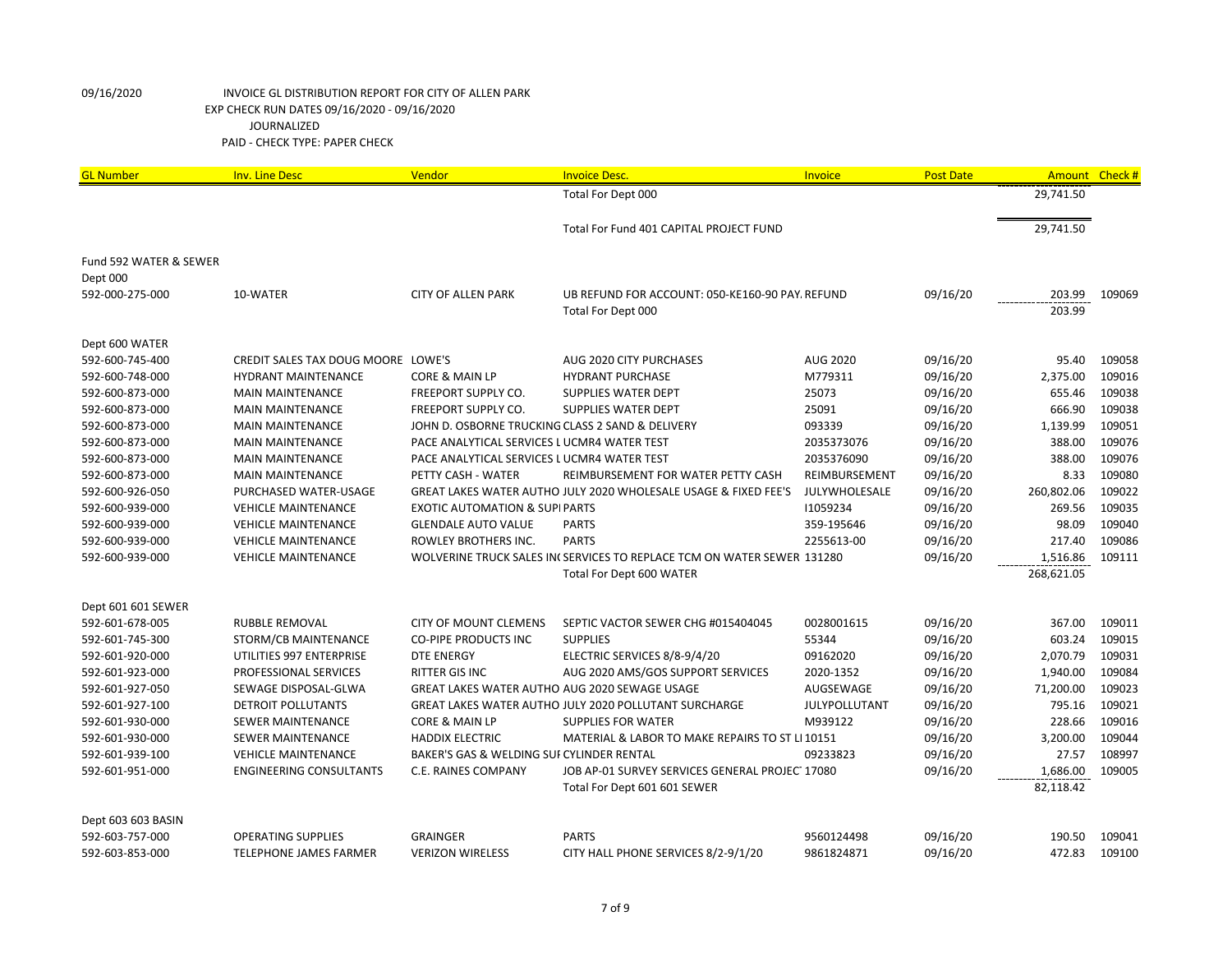| <b>GL Number</b>       | <b>Inv. Line Desc</b>              | Vendor                                           | <b>Invoice Desc.</b>                                                   | Invoice         | <b>Post Date</b> | Amount     | Check# |
|------------------------|------------------------------------|--------------------------------------------------|------------------------------------------------------------------------|-----------------|------------------|------------|--------|
|                        |                                    |                                                  | Total For Dept 000                                                     |                 |                  | 29,741.50  |        |
|                        |                                    |                                                  |                                                                        |                 |                  |            |        |
|                        |                                    |                                                  | Total For Fund 401 CAPITAL PROJECT FUND                                |                 |                  | 29,741.50  |        |
| Fund 592 WATER & SEWER |                                    |                                                  |                                                                        |                 |                  |            |        |
| Dept 000               |                                    |                                                  |                                                                        |                 |                  |            |        |
| 592-000-275-000        | 10-WATER                           | <b>CITY OF ALLEN PARK</b>                        | UB REFUND FOR ACCOUNT: 050-KE160-90 PAY, REFUND                        |                 | 09/16/20         | 203.99     | 109069 |
|                        |                                    |                                                  | Total For Dept 000                                                     |                 |                  | 203.99     |        |
| Dept 600 WATER         |                                    |                                                  |                                                                        |                 |                  |            |        |
| 592-600-745-400        | CREDIT SALES TAX DOUG MOORE LOWE'S |                                                  | AUG 2020 CITY PURCHASES                                                | <b>AUG 2020</b> | 09/16/20         | 95.40      | 109058 |
| 592-600-748-000        | <b>HYDRANT MAINTENANCE</b>         | CORE & MAIN LP                                   | <b>HYDRANT PURCHASE</b>                                                | M779311         | 09/16/20         | 2,375.00   | 109016 |
| 592-600-873-000        | <b>MAIN MAINTENANCE</b>            | <b>FREEPORT SUPPLY CO.</b>                       | <b>SUPPLIES WATER DEPT</b>                                             | 25073           | 09/16/20         | 655.46     | 109038 |
| 592-600-873-000        | <b>MAIN MAINTENANCE</b>            | FREEPORT SUPPLY CO.                              | <b>SUPPLIES WATER DEPT</b>                                             | 25091           | 09/16/20         | 666.90     | 109038 |
| 592-600-873-000        | <b>MAIN MAINTENANCE</b>            | JOHN D. OSBORNE TRUCKING CLASS 2 SAND & DELIVERY |                                                                        | 093339          | 09/16/20         | 1,139.99   | 109051 |
| 592-600-873-000        | <b>MAIN MAINTENANCE</b>            | PACE ANALYTICAL SERVICES LUCMR4 WATER TEST       |                                                                        | 2035373076      | 09/16/20         | 388.00     | 109076 |
| 592-600-873-000        | <b>MAIN MAINTENANCE</b>            | PACE ANALYTICAL SERVICES LUCMR4 WATER TEST       |                                                                        | 2035376090      | 09/16/20         | 388.00     | 109076 |
| 592-600-873-000        | <b>MAIN MAINTENANCE</b>            | PETTY CASH - WATER                               | REIMBURSEMENT FOR WATER PETTY CASH                                     | REIMBURSEMENT   | 09/16/20         | 8.33       | 109080 |
| 592-600-926-050        | PURCHASED WATER-USAGE              |                                                  | GREAT LAKES WATER AUTHO JULY 2020 WHOLESALE USAGE & FIXED FEE'S        | JULYWHOLESALE   | 09/16/20         | 260,802.06 | 109022 |
| 592-600-939-000        | <b>VEHICLE MAINTENANCE</b>         | <b>EXOTIC AUTOMATION &amp; SUPI PARTS</b>        |                                                                        | 11059234        | 09/16/20         | 269.56     | 109035 |
| 592-600-939-000        | <b>VEHICLE MAINTENANCE</b>         | <b>GLENDALE AUTO VALUE</b>                       | <b>PARTS</b>                                                           | 359-195646      | 09/16/20         | 98.09      | 109040 |
| 592-600-939-000        | <b>VEHICLE MAINTENANCE</b>         | ROWLEY BROTHERS INC.                             | <b>PARTS</b>                                                           | 2255613-00      | 09/16/20         | 217.40     | 109086 |
| 592-600-939-000        | <b>VEHICLE MAINTENANCE</b>         |                                                  | WOLVERINE TRUCK SALES IN(SERVICES TO REPLACE TCM ON WATER SEWER 131280 |                 | 09/16/20         | 1,516.86   | 109111 |
|                        |                                    |                                                  | Total For Dept 600 WATER                                               |                 |                  | 268,621.05 |        |
|                        |                                    |                                                  |                                                                        |                 |                  |            |        |
| Dept 601 601 SEWER     |                                    |                                                  |                                                                        |                 |                  |            |        |
| 592-601-678-005        | RUBBLE REMOVAL                     | <b>CITY OF MOUNT CLEMENS</b>                     | SEPTIC VACTOR SEWER CHG #015404045                                     | 0028001615      | 09/16/20         | 367.00     | 109011 |
| 592-601-745-300        | STORM/CB MAINTENANCE               | <b>CO-PIPE PRODUCTS INC</b>                      | <b>SUPPLIES</b>                                                        | 55344           | 09/16/20         | 603.24     | 109015 |
| 592-601-920-000        | UTILITIES 997 ENTERPRISE           | <b>DTE ENERGY</b>                                | ELECTRIC SERVICES 8/8-9/4/20                                           | 09162020        | 09/16/20         | 2,070.79   | 109031 |
| 592-601-923-000        | PROFESSIONAL SERVICES              | <b>RITTER GIS INC</b>                            | AUG 2020 AMS/GOS SUPPORT SERVICES                                      | 2020-1352       | 09/16/20         | 1,940.00   | 109084 |
| 592-601-927-050        | SEWAGE DISPOSAL-GLWA               | GREAT LAKES WATER AUTHO AUG 2020 SEWAGE USAGE    |                                                                        | AUGSEWAGE       | 09/16/20         | 71,200.00  | 109023 |
| 592-601-927-100        | <b>DETROIT POLLUTANTS</b>          |                                                  | GREAT LAKES WATER AUTHO JULY 2020 POLLUTANT SURCHARGE                  | JULYPOLLUTANT   | 09/16/20         | 795.16     | 109021 |
| 592-601-930-000        | <b>SEWER MAINTENANCE</b>           | CORE & MAIN LP                                   | <b>SUPPLIES FOR WATER</b>                                              | M939122         | 09/16/20         | 228.66     | 109016 |
| 592-601-930-000        | <b>SEWER MAINTENANCE</b>           | <b>HADDIX ELECTRIC</b>                           | MATERIAL & LABOR TO MAKE REPAIRS TO ST LI 10151                        |                 | 09/16/20         | 3,200.00   | 109044 |
| 592-601-939-100        | <b>VEHICLE MAINTENANCE</b>         | BAKER'S GAS & WELDING SUI CYLINDER RENTAL        |                                                                        | 09233823        | 09/16/20         | 27.57      | 108997 |
| 592-601-951-000        | <b>ENGINEERING CONSULTANTS</b>     | C.E. RAINES COMPANY                              | JOB AP-01 SURVEY SERVICES GENERAL PROJECT17080                         |                 | 09/16/20         | 1,686.00   | 109005 |
|                        |                                    |                                                  | Total For Dept 601 601 SEWER                                           |                 |                  | 82,118.42  |        |
| Dept 603 603 BASIN     |                                    |                                                  |                                                                        |                 |                  |            |        |
| 592-603-757-000        | <b>OPERATING SUPPLIES</b>          | <b>GRAINGER</b>                                  | <b>PARTS</b>                                                           | 9560124498      | 09/16/20         | 190.50     | 109041 |
| 592-603-853-000        | TELEPHONE JAMES FARMER             | <b>VERIZON WIRELESS</b>                          | CITY HALL PHONE SERVICES 8/2-9/1/20                                    | 9861824871      | 09/16/20         | 472.83     | 109100 |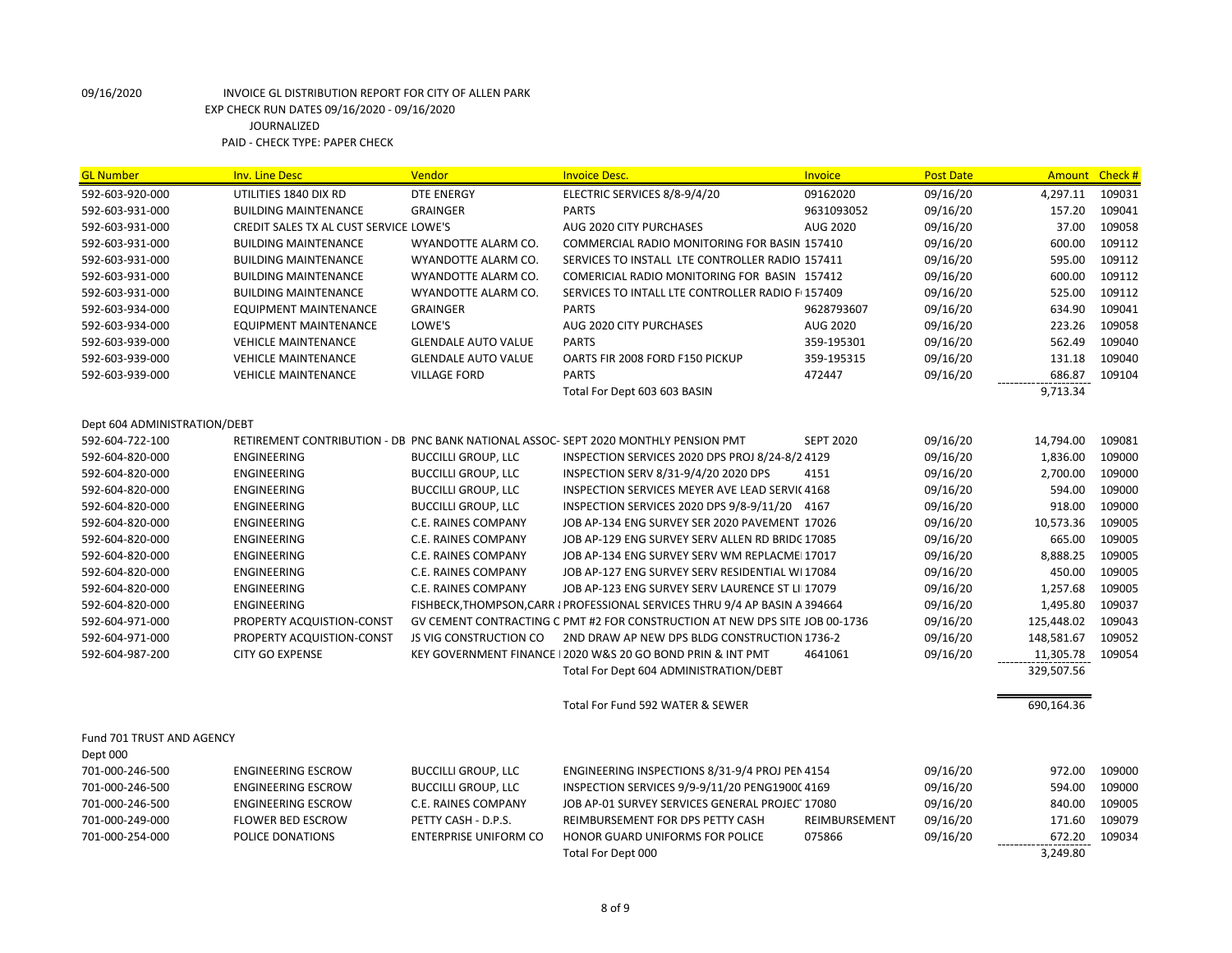| <b>GL Number</b>             | <b>Inv. Line Desc</b>                  | Vendor                        | <b>Invoice Desc.</b>                                                               | Invoice          | <b>Post Date</b> | Amount Check # |        |
|------------------------------|----------------------------------------|-------------------------------|------------------------------------------------------------------------------------|------------------|------------------|----------------|--------|
| 592-603-920-000              | UTILITIES 1840 DIX RD                  | <b>DTE ENERGY</b>             | ELECTRIC SERVICES 8/8-9/4/20                                                       | 09162020         | 09/16/20         | 4,297.11       | 109031 |
| 592-603-931-000              | <b>BUILDING MAINTENANCE</b>            | <b>GRAINGER</b>               | <b>PARTS</b>                                                                       | 9631093052       | 09/16/20         | 157.20         | 109041 |
| 592-603-931-000              | CREDIT SALES TX AL CUST SERVICE LOWE'S |                               | AUG 2020 CITY PURCHASES                                                            | <b>AUG 2020</b>  | 09/16/20         | 37.00          | 109058 |
| 592-603-931-000              | <b>BUILDING MAINTENANCE</b>            | WYANDOTTE ALARM CO.           | COMMERCIAL RADIO MONITORING FOR BASIN 157410                                       |                  | 09/16/20         | 600.00         | 109112 |
| 592-603-931-000              | <b>BUILDING MAINTENANCE</b>            | WYANDOTTE ALARM CO.           | SERVICES TO INSTALL LTE CONTROLLER RADIO 157411                                    |                  | 09/16/20         | 595.00         | 109112 |
| 592-603-931-000              | <b>BUILDING MAINTENANCE</b>            | WYANDOTTE ALARM CO.           | COMERICIAL RADIO MONITORING FOR BASIN 157412                                       |                  | 09/16/20         | 600.00         | 109112 |
| 592-603-931-000              | <b>BUILDING MAINTENANCE</b>            | WYANDOTTE ALARM CO.           | SERVICES TO INTALL LTE CONTROLLER RADIO F(157409                                   |                  | 09/16/20         | 525.00         | 109112 |
| 592-603-934-000              | <b>EQUIPMENT MAINTENANCE</b>           | <b>GRAINGER</b>               | <b>PARTS</b>                                                                       | 9628793607       | 09/16/20         | 634.90         | 109041 |
| 592-603-934-000              | <b>EQUIPMENT MAINTENANCE</b>           | LOWE'S                        | AUG 2020 CITY PURCHASES                                                            | AUG 2020         | 09/16/20         | 223.26         | 109058 |
| 592-603-939-000              | <b>VEHICLE MAINTENANCE</b>             | <b>GLENDALE AUTO VALUE</b>    | <b>PARTS</b>                                                                       | 359-195301       | 09/16/20         | 562.49         | 109040 |
| 592-603-939-000              | <b>VEHICLE MAINTENANCE</b>             | <b>GLENDALE AUTO VALUE</b>    | OARTS FIR 2008 FORD F150 PICKUP                                                    | 359-195315       | 09/16/20         | 131.18         | 109040 |
| 592-603-939-000              | <b>VEHICLE MAINTENANCE</b>             | <b>VILLAGE FORD</b>           | <b>PARTS</b>                                                                       | 472447           | 09/16/20         | 686.87         | 109104 |
|                              |                                        |                               | Total For Dept 603 603 BASIN                                                       |                  |                  | 9,713.34       |        |
| Dept 604 ADMINISTRATION/DEBT |                                        |                               |                                                                                    |                  |                  |                |        |
| 592-604-722-100              |                                        |                               | RETIREMENT CONTRIBUTION - DB PNC BANK NATIONAL ASSOC-SEPT 2020 MONTHLY PENSION PMT | <b>SEPT 2020</b> | 09/16/20         | 14,794.00      | 109081 |
| 592-604-820-000              | <b>ENGINEERING</b>                     | <b>BUCCILLI GROUP, LLC</b>    | INSPECTION SERVICES 2020 DPS PROJ 8/24-8/2 4129                                    |                  | 09/16/20         | 1,836.00       | 109000 |
| 592-604-820-000              | <b>ENGINEERING</b>                     | <b>BUCCILLI GROUP, LLC</b>    | INSPECTION SERV 8/31-9/4/20 2020 DPS                                               | 4151             | 09/16/20         | 2,700.00       | 109000 |
| 592-604-820-000              | <b>ENGINEERING</b>                     | <b>BUCCILLI GROUP, LLC</b>    | INSPECTION SERVICES MEYER AVE LEAD SERVIC 4168                                     |                  | 09/16/20         | 594.00         | 109000 |
| 592-604-820-000              | <b>ENGINEERING</b>                     | <b>BUCCILLI GROUP, LLC</b>    | INSPECTION SERVICES 2020 DPS 9/8-9/11/20 4167                                      |                  | 09/16/20         | 918.00         | 109000 |
| 592-604-820-000              | <b>ENGINEERING</b>                     | C.E. RAINES COMPANY           | JOB AP-134 ENG SURVEY SER 2020 PAVEMENT 17026                                      |                  | 09/16/20         | 10,573.36      | 109005 |
| 592-604-820-000              | ENGINEERING                            | C.E. RAINES COMPANY           | JOB AP-129 ENG SURVEY SERV ALLEN RD BRIDC 17085                                    |                  | 09/16/20         | 665.00         | 109005 |
| 592-604-820-000              | <b>ENGINEERING</b>                     | <b>C.E. RAINES COMPANY</b>    | JOB AP-134 ENG SURVEY SERV WM REPLACME 17017                                       |                  | 09/16/20         | 8,888.25       | 109005 |
| 592-604-820-000              | ENGINEERING                            | C.E. RAINES COMPANY           | JOB AP-127 ENG SURVEY SERV RESIDENTIAL WI 17084                                    |                  | 09/16/20         | 450.00         | 109005 |
| 592-604-820-000              | <b>ENGINEERING</b>                     | C.E. RAINES COMPANY           | JOB AP-123 ENG SURVEY SERV LAURENCE ST LII17079                                    |                  | 09/16/20         | 1,257.68       | 109005 |
| 592-604-820-000              | <b>ENGINEERING</b>                     |                               | FISHBECK, THOMPSON, CARR I PROFESSIONAL SERVICES THRU 9/4 AP BASIN A 394664        |                  | 09/16/20         | 1,495.80       | 109037 |
| 592-604-971-000              | PROPERTY ACQUISTION-CONST              |                               | GV CEMENT CONTRACTING C PMT #2 FOR CONSTRUCTION AT NEW DPS SITE JOB 00-1736        |                  | 09/16/20         | 125,448.02     | 109043 |
| 592-604-971-000              | PROPERTY ACQUISTION-CONST              | <b>JS VIG CONSTRUCTION CO</b> | 2ND DRAW AP NEW DPS BLDG CONSTRUCTION 1736-2                                       |                  | 09/16/20         | 148,581.67     | 109052 |
| 592-604-987-200              | <b>CITY GO EXPENSE</b>                 |                               | KEY GOVERNMENT FINANCE   2020 W&S 20 GO BOND PRIN & INT PMT                        | 4641061          | 09/16/20         | 11,305.78      | 109054 |
|                              |                                        |                               | Total For Dept 604 ADMINISTRATION/DEBT                                             |                  |                  | 329,507.56     |        |
|                              |                                        |                               | Total For Fund 592 WATER & SEWER                                                   |                  |                  | 690,164.36     |        |
| Fund 701 TRUST AND AGENCY    |                                        |                               |                                                                                    |                  |                  |                |        |
| Dept 000                     |                                        |                               |                                                                                    |                  |                  |                |        |
| 701-000-246-500              | <b>ENGINEERING ESCROW</b>              | <b>BUCCILLI GROUP, LLC</b>    | ENGINEERING INSPECTIONS 8/31-9/4 PROJ PEN 4154                                     |                  | 09/16/20         | 972.00         | 109000 |
| 701-000-246-500              | <b>ENGINEERING ESCROW</b>              | <b>BUCCILLI GROUP, LLC</b>    | INSPECTION SERVICES 9/9-9/11/20 PENG1900C 4169                                     |                  | 09/16/20         | 594.00         | 109000 |
| 701-000-246-500              | <b>ENGINEERING ESCROW</b>              | C.E. RAINES COMPANY           | JOB AP-01 SURVEY SERVICES GENERAL PROJECT17080                                     |                  | 09/16/20         | 840.00         | 109005 |
| 701-000-249-000              | <b>FLOWER BED ESCROW</b>               | PETTY CASH - D.P.S.           | REIMBURSEMENT FOR DPS PETTY CASH                                                   | REIMBURSEMENT    | 09/16/20         | 171.60         | 109079 |
| 701-000-254-000              | POLICE DONATIONS                       | <b>ENTERPRISE UNIFORM CO</b>  | HONOR GUARD UNIFORMS FOR POLICE                                                    | 075866           | 09/16/20         | 672.20         | 109034 |
|                              |                                        |                               | Total For Dept 000                                                                 |                  |                  | 3,249.80       |        |